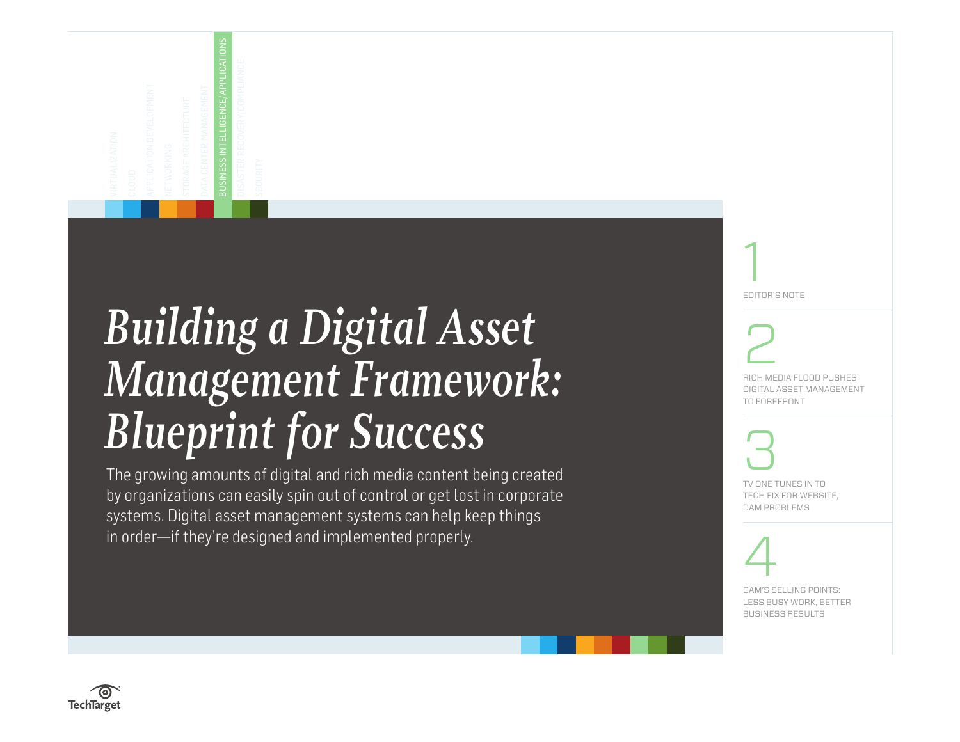<span id="page-0-0"></span>

# *Building a Digital Asset Management Framework: Blueprint for Success*

The growing amounts of digital and rich media content being created by organizations can easily spin out of control or get lost in corporate systems. Digital asset management systems can help keep things in order—if they're designed and implemented properly.

[1](#page-1-0) [EDITOR'S NOTE](#page-1-0) [2](#page-2-0) [RICH MEDIA FLOOD PUSHES](#page-2-0)  [DIGITAL ASSET MANAGEMENT](#page-2-0)  [TO FOREFRONT](#page-2-0) [3](#page-5-0) [TV ONE TUNES IN TO](#page-5-0)  [TECH FIX FOR WEBSITE,](#page-5-0)  [DAM PROBLEMS](#page-5-0)

# [4](#page-8-0)

[DAM'S SELLING POINTS:](#page-8-0)  [LESS BUSY WORK, BETTER](#page-8-0)  [BUSINESS RESULTS](#page-8-0)

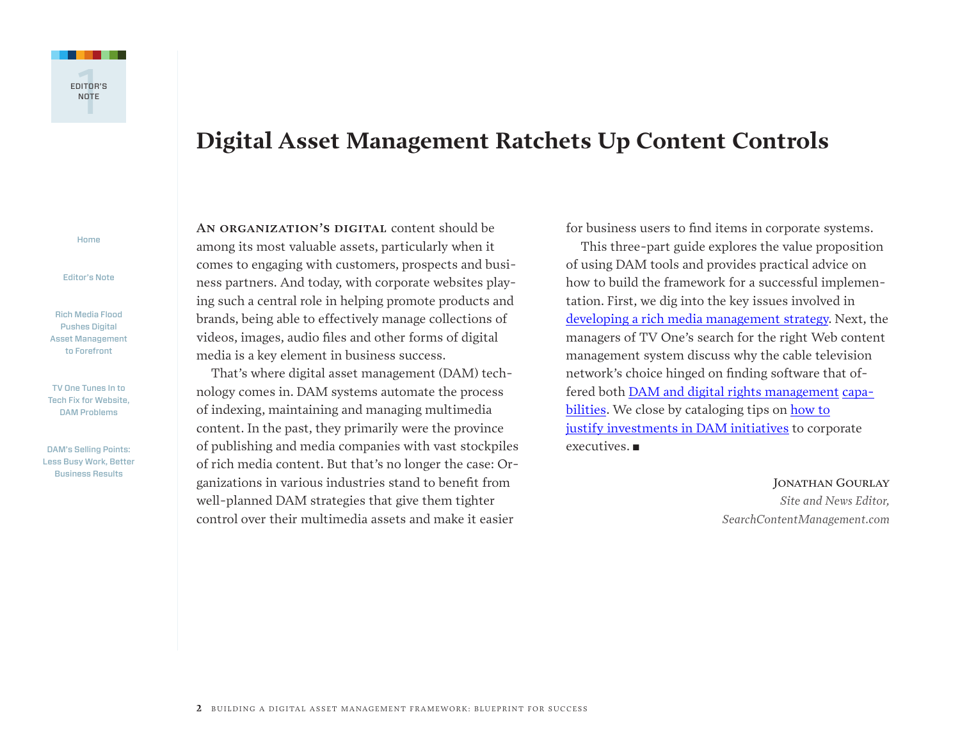<span id="page-1-0"></span>

## **Digital Asset Management Ratchets Up Content Controls**

[Home](#page-0-0)

Editor's Note

[Rich Media Flood](#page-2-0)  [Pushes Digital](#page-2-0)  [Asset Management](#page-2-0)  [to Forefront](#page-2-0)

[TV One Tunes In to](#page-5-0)  [Tech Fix for Website,](#page-5-0)  [DAM Problems](#page-5-0)

[DAM's Selling Points:](#page-8-0)  [Less Busy Work, Better](#page-8-0)  [Business Results](#page-8-0)

AN ORGANIZATION'S DIGITAL content should be among its most valuable assets, particularly when it comes to engaging with customers, prospects and business partners. And today, with corporate websites playing such a central role in helping promote products and brands, being able to effectively manage collections of videos, images, audio files and other forms of digital media is a key element in business success.

That's where digital asset management (DAM) technology comes in. DAM systems automate the process of indexing, maintaining and managing multimedia content. In the past, they primarily were the province of publishing and media companies with vast stockpiles of rich media content. But that's no longer the case: Organizations in various industries stand to benefit from well-planned DAM strategies that give them tighter control over their multimedia assets and make it easier

for business users to find items in corporate systems.

This three-part guide explores the value proposition of using DAM tools and provides practical advice on how to build the framework for a successful implementation. First, we dig into the key issues involved in developing a rich media [management](#page-2-0) strategy. Next, the managers of TV One's search for the right Web content management system discuss why the cable television network's choice hinged on finding software that offered both DAM and digital rights [management](#page-5-0) capa[bilities](#page-5-0). We close by cataloging tips on [how](#page-8-0) to justify [investments](#page-8-0) in DAM initiatives to corporate  $excutives.$ 

JONATHAN GOURLAY

*Site and News Editor, SearchContentManagement.com*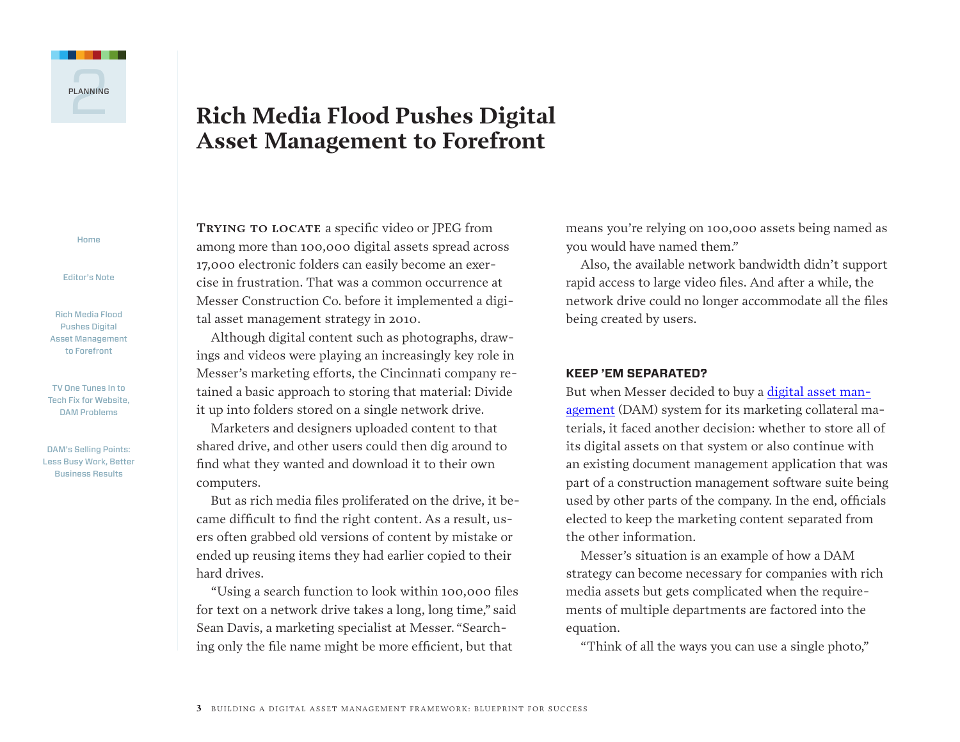<span id="page-2-0"></span>

## **Rich Media Flood Pushes Digital Asset Management to Forefront**

[Home](#page-0-0)

[Editor's Note](#page-1-0)

Rich Media Flood Pushes Digital Asset Management to Forefront

[TV One Tunes In to](#page-5-0)  [Tech Fix for Website,](#page-5-0)  [DAM Problems](#page-5-0)

[DAM's Selling Points:](#page-8-0)  [Less Busy Work, Better](#page-8-0)  [Business Results](#page-8-0)

**Trying to locate** a specific video or JPEG from among more than 100,000 digital assets spread across 17,000 electronic folders can easily become an exercise in frustration. That was a common occurrence at Messer Construction Co. before it implemented a digital asset management strategy in 2010.

Although digital content such as photographs, drawings and videos were playing an increasingly key role in Messer's marketing efforts, the Cincinnati company retained a basic approach to storing that material: Divide it up into folders stored on a single network drive.

Marketers and designers uploaded content to that shared drive, and other users could then dig around to find what they wanted and download it to their own computers.

But as rich media files proliferated on the drive, it became difficult to find the right content. As a result, users often grabbed old versions of content by mistake or ended up reusing items they had earlier copied to their hard drives.

"Using a search function to look within 100,000 files for text on a network drive takes a long, long time," said Sean Davis, a marketing specialist at Messer. "Searching only the file name might be more efficient, but that

means you're relying on 100,000 assets being named as you would have named them."

Also, the available network bandwidth didn't support rapid access to large video files. And after a while, the network drive could no longer accommodate all the files being created by users.

#### **KEEP 'EM SEPARATED?**

But when Messer decided to buy a [digital](http://searchcontentmanagement.techtarget.com/feature/Despite-its-allure-digital-asset-management-not-always-the-right-fit) asset man[agement](http://searchcontentmanagement.techtarget.com/feature/Despite-its-allure-digital-asset-management-not-always-the-right-fit) (DAM) system for its marketing collateral materials, it faced another decision: whether to store all of its digital assets on that system or also continue with an existing document management application that was part of a construction management software suite being used by other parts of the company. In the end, officials elected to keep the marketing content separated from the other information.

Messer's situation is an example of how a DAM strategy can become necessary for companies with rich media assets but gets complicated when the requirements of multiple departments are factored into the equation.

"Think of all the ways you can use a single photo,"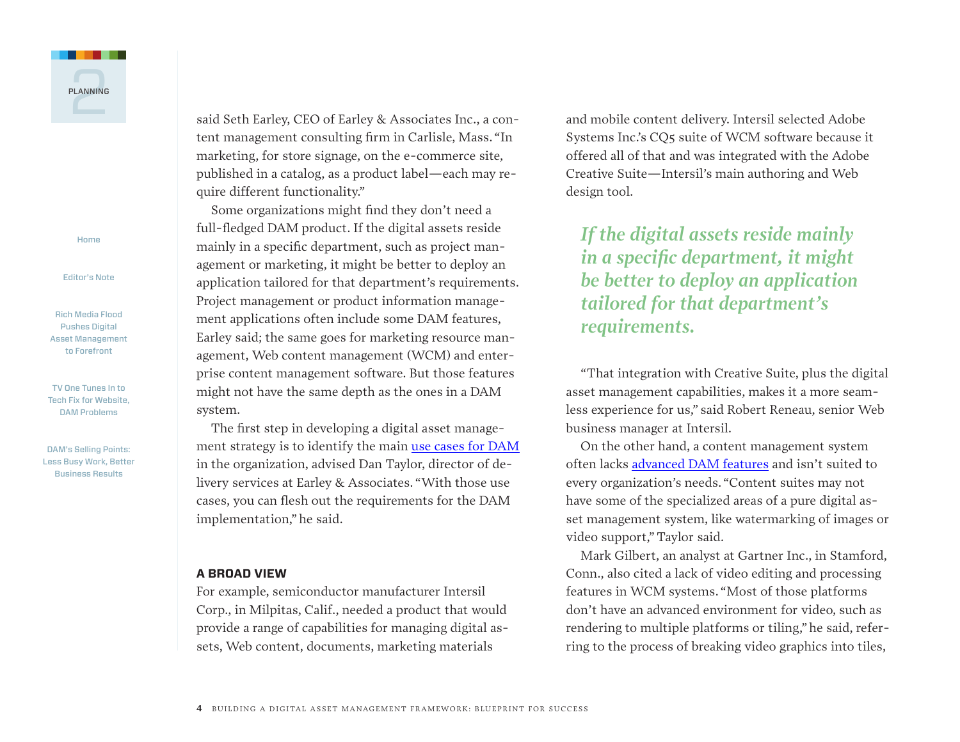

[Editor's Note](#page-1-0)

[Rich Media Flood](#page-2-0)  [Pushes Digital](#page-2-0)  [Asset Management](#page-2-0)  [to Forefront](#page-2-0)

[TV One Tunes In to](#page-5-0)  [Tech Fix for Website,](#page-5-0)  [DAM Problems](#page-5-0)

[DAM's Selling Points:](#page-8-0)  [Less Busy Work, Better](#page-8-0)  [Business Results](#page-8-0)

said Seth Earley, CEO of Earley & Associates Inc., a content management consulting firm in Carlisle, Mass. "In marketing, for store signage, on the e-commerce site, published in a catalog, as a product label—each may require different functionality."

Some organizations might find they don't need a full-fledged DAM product. If the digital assets reside mainly in a specific department, such as project management or marketing, it might be better to deploy an application tailored for that department's requirements. Project management or product information management applications often include some DAM features, Earley said; the same goes for marketing resource management, Web content management (WCM) and enterprise content management software. But those features might not have the same depth as the ones in a DAM system.

The first step in developing a digital asset management strategy is to identify the main use cases for [DAM](http://searchcontentmanagement.techtarget.com/feature/Use-is-primary-proviso-when-choosing-a-digital-asset-management-system) in the organization, advised Dan Taylor, director of delivery services at Earley & Associates. "With those use cases, you can flesh out the requirements for the DAM implementation," he said.

#### **A BROAD VIEW**

For example, semiconductor manufacturer Intersil Corp., in Milpitas, Calif., needed a product that would provide a range of capabilities for managing digital assets, Web content, documents, marketing materials

and mobile content delivery. Intersil selected Adobe Systems Inc.'s CQ5 suite of WCM software because it offered all of that and was integrated with the Adobe Creative Suite—Intersil's main authoring and Web design tool.

*If the digital assets reside mainly in a specific department, it might be better to deploy an application tailored for that department's requirements.*

"That integration with Creative Suite, plus the digital asset management capabilities, makes it a more seamless experience for us," said Robert Reneau, senior Web business manager at Intersil.

On the other hand, a content management system often lacks [advanced](http://searchcontentmanagement.techtarget.com/feature/NPRs-Web-content-management-system-governs-a-quarter-million-files) DAM features and isn't suited to every organization's needs. "Content suites may not have some of the specialized areas of a pure digital asset management system, like watermarking of images or video support," Taylor said.

Mark Gilbert, an analyst at Gartner Inc., in Stamford, Conn., also cited a lack of video editing and processing features in WCM systems. "Most of those platforms don't have an advanced environment for video, such as rendering to multiple platforms or tiling," he said, referring to the process of breaking video graphics into tiles,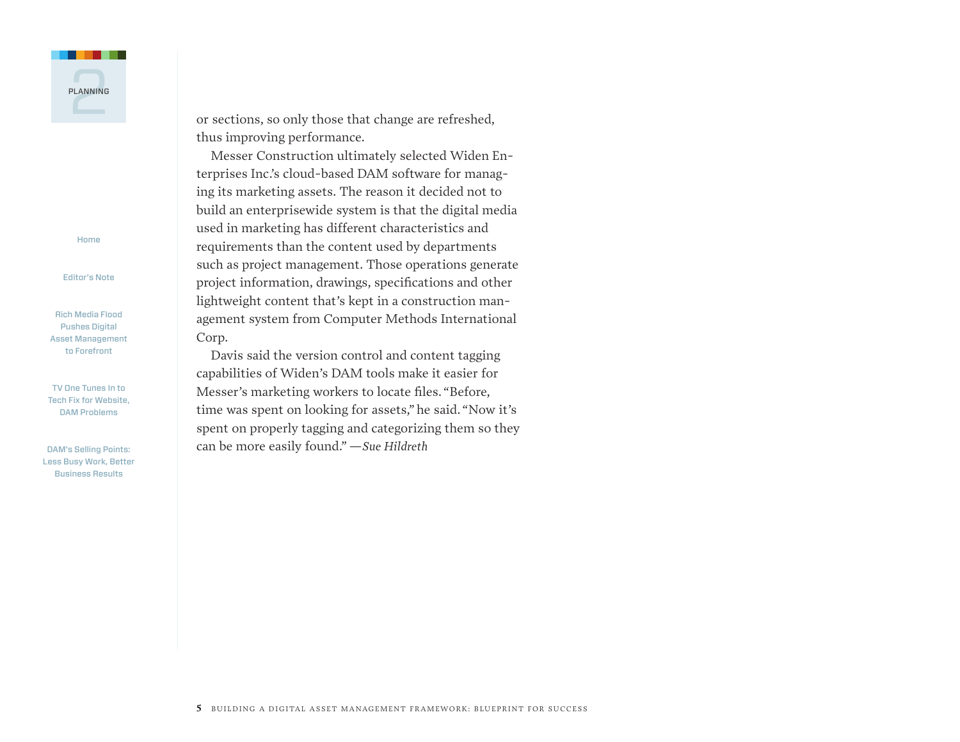

[Editor's Note](#page-1-0)

[Rich Media Flood](#page-2-0)  [Pushes Digital](#page-2-0)  [Asset Management](#page-2-0)  [to Forefront](#page-2-0)

[TV One Tunes In to](#page-5-0)  [Tech Fix for Website,](#page-5-0)  [DAM Problems](#page-5-0)

[DAM's Selling Points:](#page-8-0)  [Less Busy Work, Better](#page-8-0)  [Business Results](#page-8-0)

or sections, so only those that change are refreshed, thus improving performance.

Messer Construction ultimately selected Widen Enterprises Inc.'s cloud-based DAM software for managing its marketing assets. The reason it decided not to build an enterprisewide system is that the digital media used in marketing has different characteristics and requirements than the content used by departments such as project management. Those operations generate project information, drawings, specifications and other lightweight content that's kept in a construction management system from Computer Methods International Corp.

Davis said the version control and content tagging capabilities of Widen's DAM tools make it easier for Messer's marketing workers to locate files. "Before, time was spent on looking for assets," he said. "Now it's spent on properly tagging and categorizing them so they can be more easily found."*—Sue Hildreth*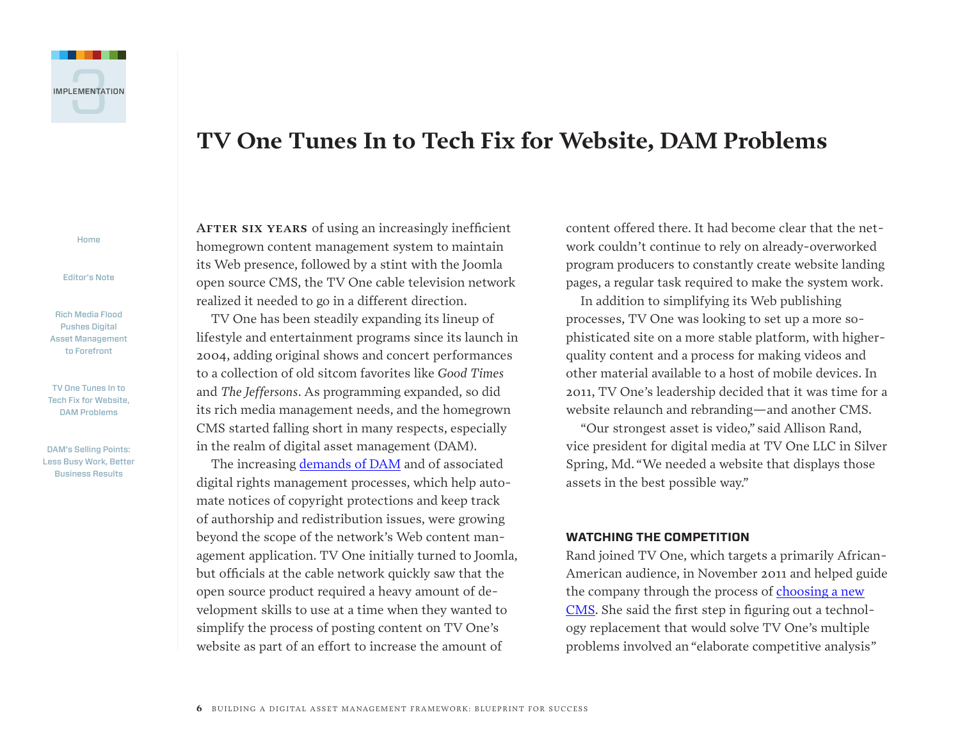<span id="page-5-0"></span>

## **TV One Tunes In to Tech Fix for Website, DAM Problems**

[Home](#page-0-0)

[Editor's Note](#page-1-0)

[Rich Media Flood](#page-2-0)  [Pushes Digital](#page-2-0)  [Asset Management](#page-2-0)  [to Forefront](#page-2-0)

TV One Tunes In to Tech Fix for Website, DAM Problems

[DAM's Selling Points:](#page-8-0)  [Less Busy Work, Better](#page-8-0)  [Business Results](#page-8-0)

AFTER SIX YEARS of using an increasingly inefficient homegrown content management system to maintain its Web presence, followed by a stint with the Joomla open source CMS, the TV One cable television network realized it needed to go in a different direction.

TV One has been steadily expanding its lineup of lifestyle and entertainment programs since its launch in 2004, adding original shows and concert performances to a collection of old sitcom favorites like *Good Times* and *The Jeffersons*. As programming expanded, so did its rich media management needs, and the homegrown CMS started falling short in many respects, especially in the realm of digital asset management (DAM).

The increasing [demands](http://searchcontentmanagement.techtarget.com/news/2240036279/WCM-and-digital-asset-management-systems-not-so-separate-anym) of DAM and of associated digital rights management processes, which help automate notices of copyright protections and keep track of authorship and redistribution issues, were growing beyond the scope of the network's Web content management application. TV One initially turned to Joomla, but officials at the cable network quickly saw that the open source product required a heavy amount of development skills to use at a time when they wanted to simplify the process of posting content on TV One's website as part of an effort to increase the amount of

content offered there. It had become clear that the network couldn't continue to rely on already-overworked program producers to constantly create website landing pages, a regular task required to make the system work.

In addition to simplifying its Web publishing processes, TV One was looking to set up a more sophisticated site on a more stable platform, with higherquality content and a process for making videos and other material available to a host of mobile devices. In 2011, TV One's leadership decided that it was time for a website relaunch and rebranding—and another CMS.

"Our strongest asset is video," said Allison Rand, vice president for digital media at TV One LLC in Silver Spring, Md. "We needed a website that displays those assets in the best possible way."

#### **WATCHING THE COMPETITION**

Rand joined TV One, which targets a primarily African-American audience, in November 2011 and helped guide the company through the process of [choosing](http://searchcontentmanagement.techtarget.com/news/1280089726/Complex-Web-content-management-system-choices-demand-careful-selection) a new [CMS.](http://searchcontentmanagement.techtarget.com/news/1280089726/Complex-Web-content-management-system-choices-demand-careful-selection) She said the first step in figuring out a technology replacement that would solve TV One's multiple problems involved an "elaborate competitive analysis"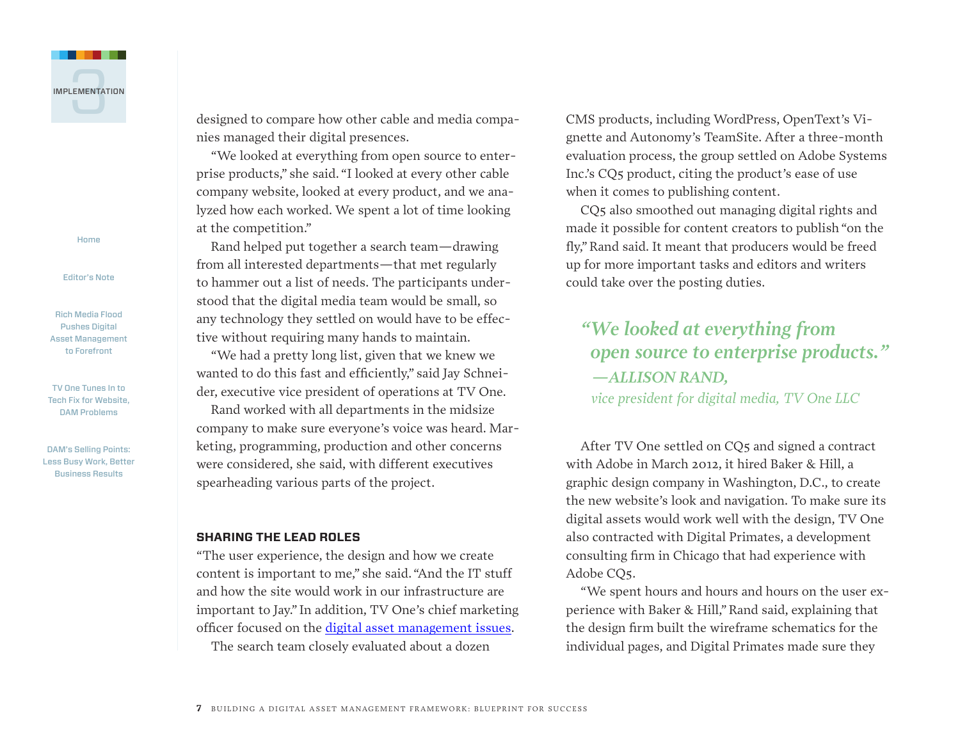

[Editor's Note](#page-1-0)

[Rich Media Flood](#page-2-0)  [Pushes Digital](#page-2-0)  [Asset Management](#page-2-0)  [to Forefront](#page-2-0)

[TV One Tunes In to](#page-5-0)  [Tech Fix for Website,](#page-5-0)  [DAM Problems](#page-5-0)

[DAM's Selling Points:](#page-8-0)  [Less Busy Work, Better](#page-8-0)  [Business Results](#page-8-0)

designed to compare how other cable and media companies managed their digital presences.

"We looked at everything from open source to enterprise products," she said. "I looked at every other cable company website, looked at every product, and we analyzed how each worked. We spent a lot of time looking at the competition."

Rand helped put together a search team—drawing from all interested departments—that met regularly to hammer out a list of needs. The participants understood that the digital media team would be small, so any technology they settled on would have to be effective without requiring many hands to maintain.

"We had a pretty long list, given that we knew we wanted to do this fast and efficiently," said Jay Schneider, executive vice president of operations at TV One.

Rand worked with all departments in the midsize company to make sure everyone's voice was heard. Marketing, programming, production and other concerns were considered, she said, with different executives spearheading various parts of the project.

#### **SHARING THE LEAD ROLES**

"The user experience, the design and how we create content is important to me," she said. "And the IT stuff and how the site would work in our infrastructure are important to Jay." In addition, TV One's chief marketing officer focused on the digital asset [management](http://searchcontentmanagement.techtarget.com/feature/Cloud-collaboration-is-a-hit-for-MLBs-rich-media-management) issues.

The search team closely evaluated about a dozen

CMS products, including WordPress, OpenText's Vignette and Autonomy's TeamSite. After a three-month evaluation process, the group settled on Adobe Systems Inc.'s CQ5 product, citing the product's ease of use when it comes to publishing content.

CQ5 also smoothed out managing digital rights and made it possible for content creators to publish "on the fly,"Rand said. It meant that producers would be freed up for more important tasks and editors and writers could take over the posting duties.

### *"We looked at everything from open source to enterprise products." —ALLISON RAND, vice president for digital media, TV One LLC*

After TV One settled on CQ5 and signed a contract with Adobe in March 2012, it hired Baker & Hill, a graphic design company in Washington, D.C., to create the new website's look and navigation. To make sure its digital assets would work well with the design, TV One also contracted with Digital Primates, a development consulting firm in Chicago that had experience with Adobe CQ5.

"We spent hours and hours and hours on the user experience with Baker & Hill,"Rand said, explaining that the design firm built the wireframe schematics for the individual pages, and Digital Primates made sure they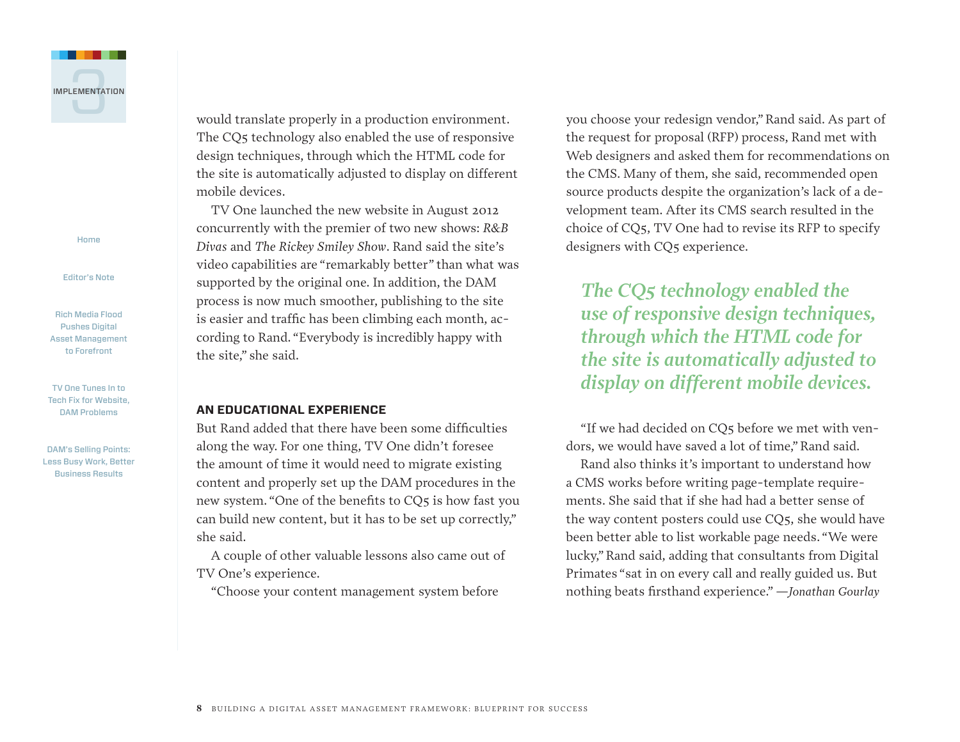

[Editor's Note](#page-1-0)

[Rich Media Flood](#page-2-0)  [Pushes Digital](#page-2-0)  [Asset Management](#page-2-0)  [to Forefront](#page-2-0)

[TV One Tunes In to](#page-5-0)  [Tech Fix for Website,](#page-5-0)  [DAM Problems](#page-5-0)

[DAM's Selling Points:](#page-8-0)  [Less Busy Work, Better](#page-8-0)  [Business Results](#page-8-0)

would translate properly in a production environment. The CQ5 technology also enabled the use of responsive design techniques, through which the HTML code for the site is automatically adjusted to display on different mobile devices.

TV One launched the new website in August 2012 concurrently with the premier of two new shows: *R&B Divas* and *The Rickey Smiley Show*. Rand said the site's video capabilities are "remarkably better" than what was supported by the original one. In addition, the DAM process is now much smoother, publishing to the site is easier and traffic has been climbing each month, according to Rand. "Everybody is incredibly happy with the site," she said.

#### **AN EDUCATIONAL EXPERIENCE**

But Rand added that there have been some difficulties along the way. For one thing, TV One didn't foresee the amount of time it would need to migrate existing content and properly set up the DAM procedures in the new system. "One of the benefits to CQ5 is how fast you can build new content, but it has to be set up correctly," she said.

A couple of other valuable lessons also came out of TV One's experience.

"Choose your content management system before

you choose your redesign vendor,"Rand said. As part of the request for proposal (RFP) process, Rand met with Web designers and asked them for recommendations on the CMS. Many of them, she said, recommended open source products despite the organization's lack of a development team. After its CMS search resulted in the choice of CQ5, TV One had to revise its RFP to specify designers with CQ5 experience.

*The CQ5 technology enabled the use of responsive design techniques, through which the HTML code for the site is automatically adjusted to display on different mobile devices.*

"If we had decided on CQ5 before we met with vendors, we would have saved a lot of time,"Rand said.

Rand also thinks it's important to understand how a CMS works before writing page-template requirements. She said that if she had had a better sense of the way content posters could use CQ5, she would have been better able to list workable page needs. "We were lucky,"Rand said, adding that consultants from Digital Primates "sat in on every call and really guided us. But nothing beats firsthand experience."*—Jonathan Gourlay*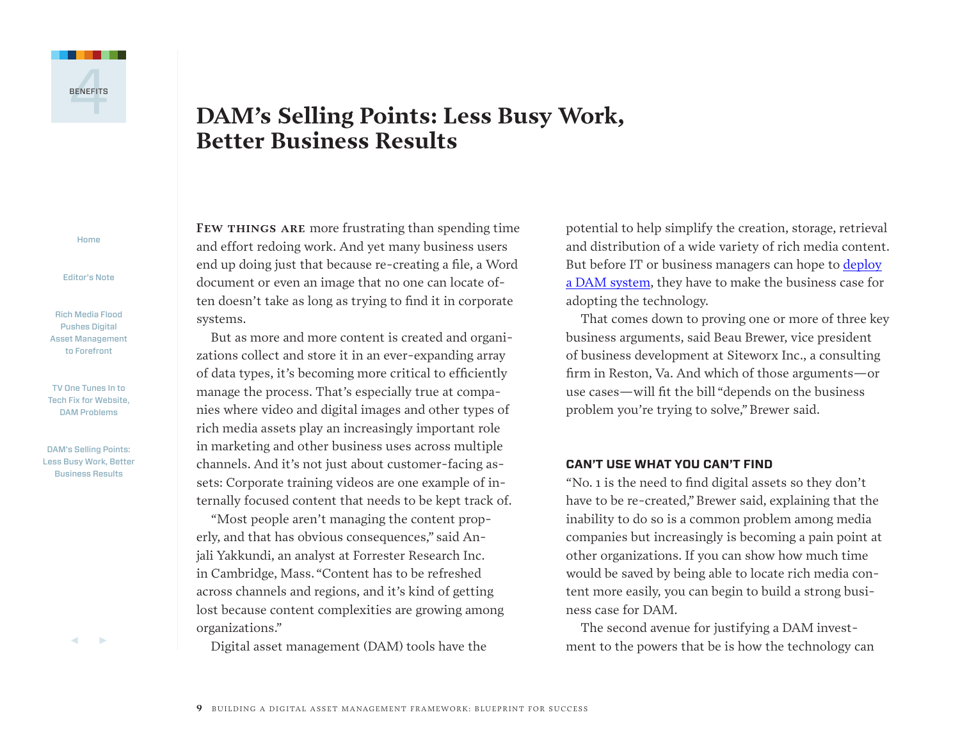<span id="page-8-0"></span>

## **DAM's Selling Points: Less Busy Work, Better Business Results**

[Home](#page-0-0)

[Editor's Note](#page-1-0)

[Rich Media Flood](#page-2-0)  [Pushes Digital](#page-2-0)  [Asset Management](#page-2-0)  [to Forefront](#page-2-0)

[TV One Tunes In to](#page-5-0)  [Tech Fix for Website,](#page-5-0)  [DAM Problems](#page-5-0)

DAM's Selling Points: Less Busy Work, Better Business Results

7 3

**Few things are** more frustrating than spending time and effort redoing work. And yet many business users end up doing just that because re-creating a file, a Word document or even an image that no one can locate often doesn't take as long as trying to find it in corporate systems.

But as more and more content is created and organizations collect and store it in an ever-expanding array of data types, it's becoming more critical to efficiently manage the process. That's especially true at companies where video and digital images and other types of rich media assets play an increasingly important role in marketing and other business uses across multiple channels. And it's not just about customer-facing assets: Corporate training videos are one example of internally focused content that needs to be kept track of.

"Most people aren't managing the content properly, and that has obvious consequences," said Anjali Yakkundi, an analyst at Forrester Research Inc. in Cambridge, Mass. "Content has to be refreshed across channels and regions, and it's kind of getting lost because content complexities are growing among organizations."

Digital asset management (DAM) tools have the

potential to help simplify the creation, storage, retrieval and distribution of a wide variety of rich media content. But before IT or business managers can hope to [deploy](http://searchcontentmanagement.techtarget.com/feature/Hasbro-toys-with-global-enterprise-digital-asset-management-system) a DAM [system,](http://searchcontentmanagement.techtarget.com/feature/Hasbro-toys-with-global-enterprise-digital-asset-management-system) they have to make the business case for adopting the technology.

That comes down to proving one or more of three key business arguments, said Beau Brewer, vice president of business development at Siteworx Inc., a consulting firm in Reston, Va. And which of those arguments—or use cases—will fit the bill "depends on the business problem you're trying to solve,"Brewer said.

#### **CAN'T USE WHAT YOU CAN'T FIND**

"No. 1 is the need to find digital assets so they don't have to be re-created,"Brewer said, explaining that the inability to do so is a common problem among media companies but increasingly is becoming a pain point at other organizations. If you can show how much time would be saved by being able to locate rich media content more easily, you can begin to build a strong business case for DAM.

The second avenue for justifying a DAM investment to the powers that be is how the technology can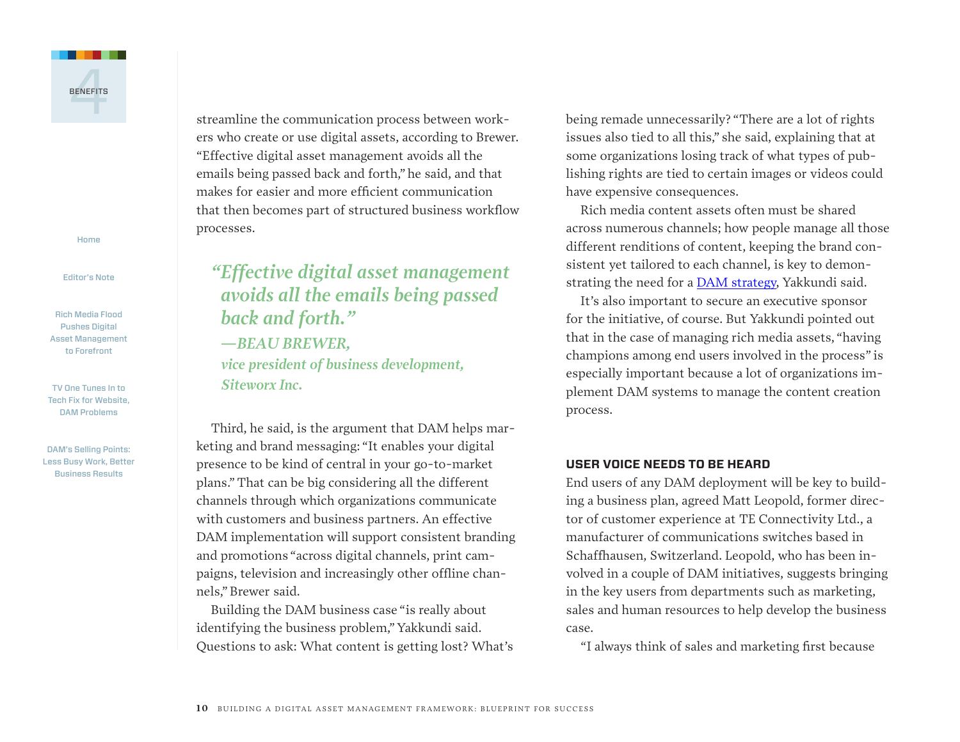

[Editor's Note](#page-1-0)

[Rich Media Flood](#page-2-0)  [Pushes Digital](#page-2-0)  [Asset Management](#page-2-0)  [to Forefront](#page-2-0)

[TV One Tunes In to](#page-5-0)  [Tech Fix for Website,](#page-5-0)  [DAM Problems](#page-5-0)

[DAM's Selling Points:](#page-8-0)  [Less Busy Work, Better](#page-8-0)  [Business Results](#page-8-0)

streamline the communication process between workers who create or use digital assets, according to Brewer. "Effective digital asset management avoids all the emails being passed back and forth," he said, and that makes for easier and more efficient communication that then becomes part of structured business workflow processes.

*"Effective digital asset management avoids all the emails being passed back and forth." —BEAU BREWER, vice president of business development, Siteworx Inc.*

Third, he said, is the argument that DAM helps marketing and brand messaging: "It enables your digital presence to be kind of central in your go-to-market plans." That can be big considering all the different channels through which organizations communicate with customers and business partners. An effective DAM implementation will support consistent branding and promotions "across digital channels, print campaigns, television and increasingly other offline channels,"Brewer said.

Building the DAM business case "is really about identifying the business problem,"Yakkundi said. Questions to ask: What content is getting lost? What's being remade unnecessarily? "There are a lot of rights issues also tied to all this," she said, explaining that at some organizations losing track of what types of publishing rights are tied to certain images or videos could have expensive consequences.

Rich media content assets often must be shared across numerous channels; how people manage all those different renditions of content, keeping the brand consistent yet tailored to each channel, is key to demonstrating the need for a DAM [strategy](http://searchcontentmanagement.techtarget.com/news/2240036218/Forrester-Companies-must-weigh-needs-for-digital-media-management), Yakkundi said.

It's also important to secure an executive sponsor for the initiative, of course. But Yakkundi pointed out that in the case of managing rich media assets, "having champions among end users involved in the process" is especially important because a lot of organizations implement DAM systems to manage the content creation process.

#### **USER VOICE NEEDS TO BE HEARD**

End users of any DAM deployment will be key to building a business plan, agreed Matt Leopold, former director of customer experience at TE Connectivity Ltd., a manufacturer of communications switches based in Schaffhausen, Switzerland. Leopold, who has been involved in a couple of DAM initiatives, suggests bringing in the key users from departments such as marketing, sales and human resources to help develop the business case.

"I always think of sales and marketing first because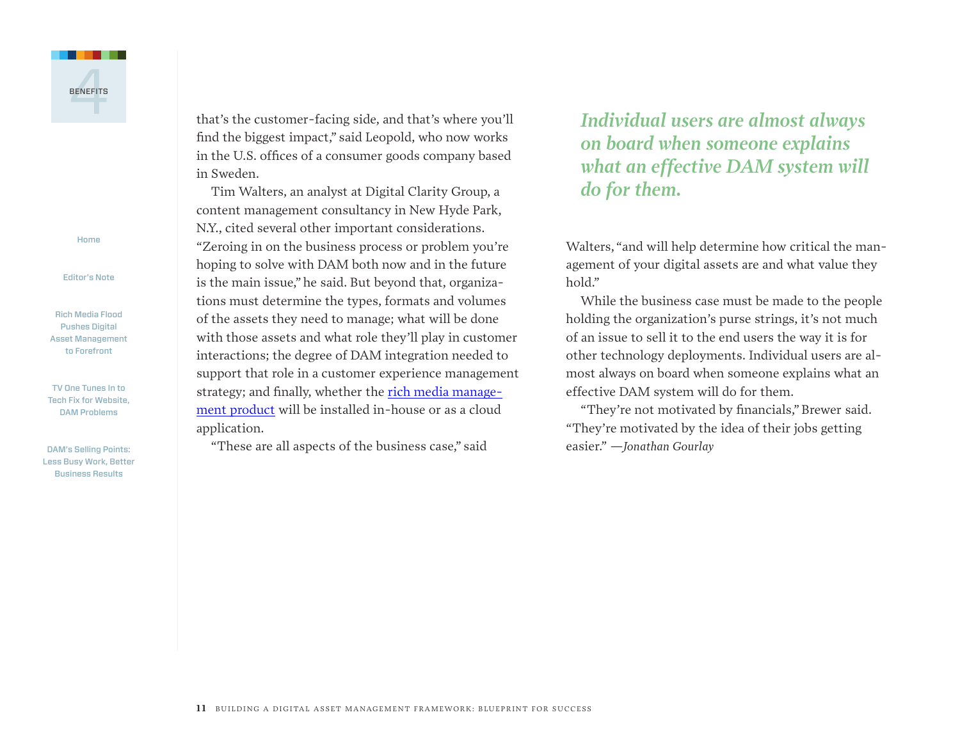

[Editor's Note](#page-1-0)

[Rich Media Flood](#page-2-0)  [Pushes Digital](#page-2-0)  [Asset Management](#page-2-0)  [to Forefront](#page-2-0)

[TV One Tunes In to](#page-5-0)  [Tech Fix for Website,](#page-5-0)  [DAM Problems](#page-5-0)

[DAM's Selling Points:](#page-8-0)  [Less Busy Work, Better](#page-8-0)  [Business Results](#page-8-0)

that's the customer-facing side, and that's where you'll find the biggest impact," said Leopold, who now works in the U.S. offices of a consumer goods company based in Sweden.

Tim Walters, an analyst at Digital Clarity Group, a content management consultancy in New Hyde Park, N.Y., cited several other important considerations. "Zeroing in on the business process or problem you're hoping to solve with DAM both now and in the future is the main issue," he said. But beyond that, organizations must determine the types, formats and volumes of the assets they need to manage; what will be done with those assets and what role they'll play in customer interactions; the degree of DAM integration needed to support that role in a customer experience management strategy; and finally, whether the rich media [manage](http://searchcontentmanagement.techtarget.com/feature/Digital-asset-management-success-hinges-on-integration-vendor-support)ment [product](http://searchcontentmanagement.techtarget.com/feature/Digital-asset-management-success-hinges-on-integration-vendor-support) will be installed in-house or as a cloud application.

"These are all aspects of the business case," said

### *Individual users are almost always on board when someone explains what an effective DAM system will do for them.*

Walters, "and will help determine how critical the management of your digital assets are and what value they hold."

While the business case must be made to the people holding the organization's purse strings, it's not much of an issue to sell it to the end users the way it is for other technology deployments. Individual users are almost always on board when someone explains what an effective DAM system will do for them.

"They're not motivated by financials,"Brewer said. "They're motivated by the idea of their jobs getting easier." *—Jonathan Gourlay*